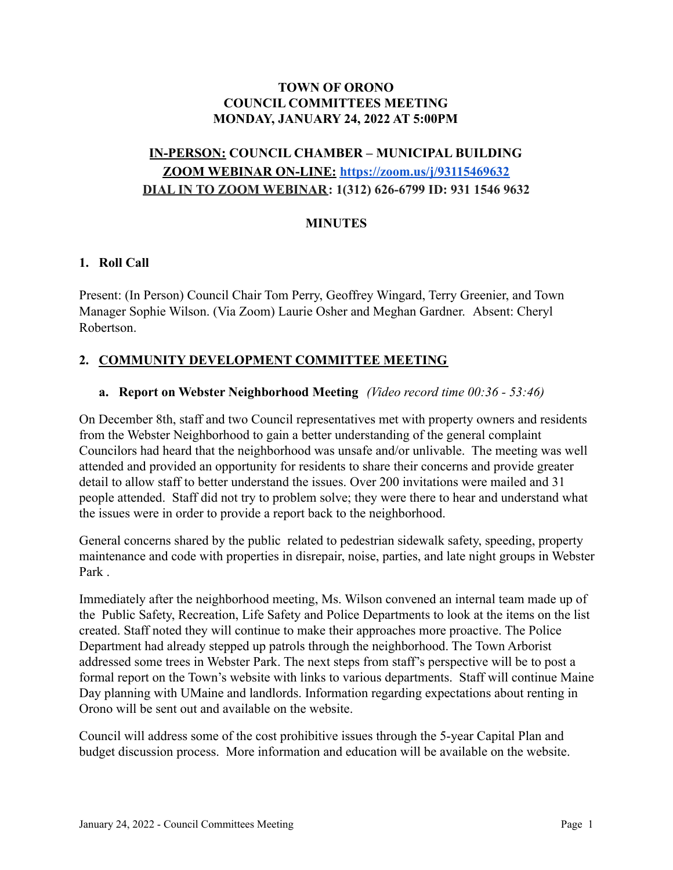## **TOWN OF ORONO COUNCIL COMMITTEES MEETING MONDAY, JANUARY 24, 2022 AT 5:00PM**

# **IN-PERSON: COUNCIL CHAMBER – MUNICIPAL BUILDING ZOOM WEBINAR ON-LINE: <https://zoom.us/j/93115469632> DIAL IN TO ZOOM WEBINAR: 1(312) 626-6799 ID: 931 1546 9632**

# **MINUTES**

## **1. Roll Call**

Present: (In Person) Council Chair Tom Perry, Geoffrey Wingard, Terry Greenier, and Town Manager Sophie Wilson. (Via Zoom) Laurie Osher and Meghan Gardner. Absent: Cheryl Robertson.

# **2. COMMUNITY DEVELOPMENT COMMITTEE MEETING**

#### **a. Report on Webster Neighborhood Meeting** *(Video record time 00:36 - 53:46)*

On December 8th, staff and two Council representatives met with property owners and residents from the Webster Neighborhood to gain a better understanding of the general complaint Councilors had heard that the neighborhood was unsafe and/or unlivable. The meeting was well attended and provided an opportunity for residents to share their concerns and provide greater detail to allow staff to better understand the issues. Over 200 invitations were mailed and 31 people attended. Staff did not try to problem solve; they were there to hear and understand what the issues were in order to provide a report back to the neighborhood.

General concerns shared by the public related to pedestrian sidewalk safety, speeding, property maintenance and code with properties in disrepair, noise, parties, and late night groups in Webster Park .

Immediately after the neighborhood meeting, Ms. Wilson convened an internal team made up of the Public Safety, Recreation, Life Safety and Police Departments to look at the items on the list created. Staff noted they will continue to make their approaches more proactive. The Police Department had already stepped up patrols through the neighborhood. The Town Arborist addressed some trees in Webster Park. The next steps from staff's perspective will be to post a formal report on the Town's website with links to various departments. Staff will continue Maine Day planning with UMaine and landlords. Information regarding expectations about renting in Orono will be sent out and available on the website.

Council will address some of the cost prohibitive issues through the 5-year Capital Plan and budget discussion process. More information and education will be available on the website.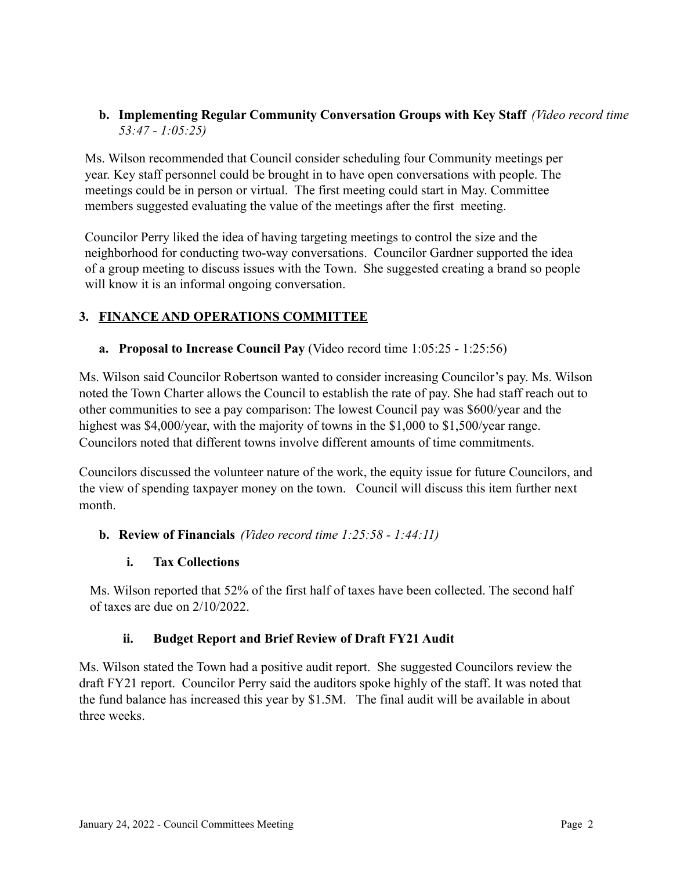## **b. Implementing Regular Community Conversation Groups with Key Staff** *(Video record time 53:47 - 1:05:25)*

Ms. Wilson recommended that Council consider scheduling four Community meetings per year. Key staff personnel could be brought in to have open conversations with people. The meetings could be in person or virtual. The first meeting could start in May. Committee members suggested evaluating the value of the meetings after the first meeting.

Councilor Perry liked the idea of having targeting meetings to control the size and the neighborhood for conducting two-way conversations. Councilor Gardner supported the idea of a group meeting to discuss issues with the Town. She suggested creating a brand so people will know it is an informal ongoing conversation.

# **3. FINANCE AND OPERATIONS COMMITTEE**

## **a. Proposal to Increase Council Pay** (Video record time 1:05:25 - 1:25:56)

Ms. Wilson said Councilor Robertson wanted to consider increasing Councilor's pay. Ms. Wilson noted the Town Charter allows the Council to establish the rate of pay. She had staff reach out to other communities to see a pay comparison: The lowest Council pay was \$600/year and the highest was \$4,000/year, with the majority of towns in the \$1,000 to \$1,500/year range. Councilors noted that different towns involve different amounts of time commitments.

Councilors discussed the volunteer nature of the work, the equity issue for future Councilors, and the view of spending taxpayer money on the town. Council will discuss this item further next month.

## **b. Review of Financials** *(Video record time 1:25:58 - 1:44:11)*

## **i. Tax Collections**

Ms. Wilson reported that 52% of the first half of taxes have been collected. The second half of taxes are due on 2/10/2022.

## **ii. Budget Report and Brief Review of Draft FY21 Audit**

Ms. Wilson stated the Town had a positive audit report. She suggested Councilors review the draft FY21 report. Councilor Perry said the auditors spoke highly of the staff. It was noted that the fund balance has increased this year by \$1.5M. The final audit will be available in about three weeks.